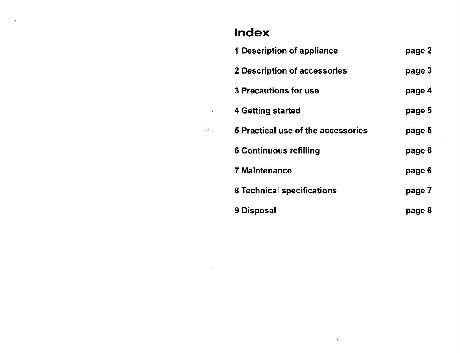## **Index**

| <b>1 Description of appliance</b>  | page 2 |
|------------------------------------|--------|
| 2 Description of accessories       | page 3 |
| <b>3 Precautions for use</b>       | page 4 |
| <b>4 Getting started</b>           | page 5 |
| 5 Practical use of the accessories | page 5 |
| <b>6 Continuous refilling</b>      | page 6 |
| <b>7 Maintenance</b>               | page 6 |
| <b>8 Technical specifications</b>  | page 7 |
| 9 Disposal                         | page 8 |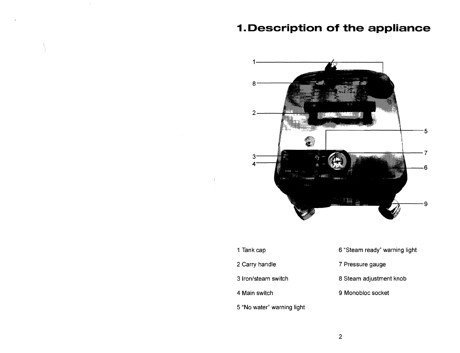### **1.Description of the appliance**



1 Tank cap

 $\frac{1}{2}$ 

- 2 Carry handle
- 3 Iron/steam switch
- 4 Main switch
- 5 "No water" warning light
- 6 "Steam ready" warning light
- 7 Pressure gauge
- 8 Steam adjustment knob
- 9 Monobloc socket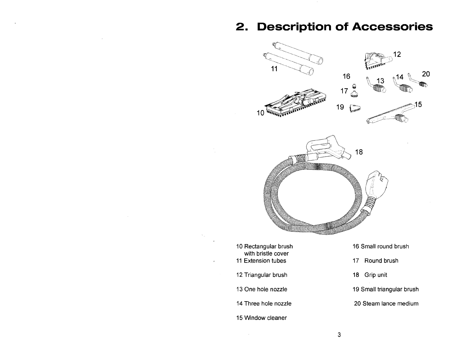### **2. Description of Accessories**



- 10 Rectangular brush with bristle cover
- 11 Extension tubes
- 12 Triangular brush
- 13 One hole nozzle
- 14 Three hole nozzle
- 15 Window cleaner
- 16 Small round brush
- 17 Round brush
- 18 Grip unit
- 19 Small triangular brush
- 20 Steam lance medium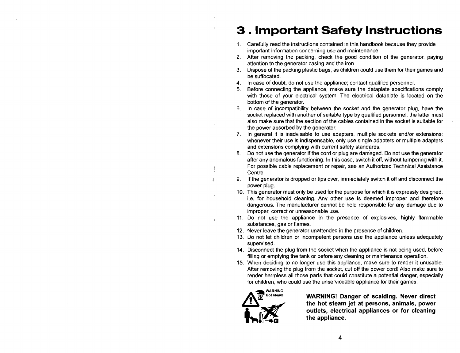# 3 **. Important Safety Instructions**

- 1. Carefully read the instructions contained in this handbook because they provide important information concerning use and maintenance.
- 2. After removing the packing, check the good condition of the generator, paying attention to the generator casing and the iron.
- 3. Dispose of the packing plastic bags, as Children could use them for their games and be suffocated.
- 4. In case of doubt, do not use the appliance; contact qualified personnel.
- 5. Before connecting the appliance, make sure the dataplate specifications comply with those of your electrical system. The electrical dataplate is located on the bottom of the generator.
- 6. In case of incompatibility between the socket and the generator plug, have the socket replaced with another of suitable type by qualified personnel; the latter must also make sure that the section of the cables contained in the socket is suitable for the power absorbed by the generator.
- 7. In general it is inadvisable to use adapters, multiple sockets and/or extensions: whenever their use is indispensable, only use single adapters or multiple adapters and extensions complying with current safety standards.
- 8. Do not use the generator if the cord or plug are damaged. Do not use the generator after any anomalous functioning. In this case, switch it off, without tampering with it. For possible cable replacement or repair, see an Authorized Technical Assistance Centre.
- 9. If the generator is dropped or tips over, immediately switch it off and disconnect the power plug.
- 10. This generator must only be used for the purpose for which it is expressly designed, i.e. for household cleaning. Any other use is deemed improper and therefore dangerous. The manufacturer cannot be held responsible for any damage due to improper, correct or unreasonable use.
- 11. Do not use the appliance in the presence of explosives, highly flammable substances, gas or flames.
- 12. Never leave the generator unattended in the presence of children.
- 13. Do not let children or incompetent persons use the appliance unless adequately supervised.
- 14. Disconnect the plug from the socket when the appliance is not being used, before filling or emptying the tank or before any cleaning or maintenance operation.
- 15. When deciding to no longer use this appliance, make sure to render it unusable. After removing the plug from the socket, cut off the power cord! Also make sure to render harmless all those parts that could constitute a potential danger, especially for children, who could use the unserviceable appliance for their games.<br> **AM RARNING Danger of scalding. Never**



 $\frac{1}{2}$ 

Hotsteam **WARNING! Danger of scalding. Never direct the hot steam jet at persons, animals, power outlets, electrical appliances or for cleaning**<br>the appliance.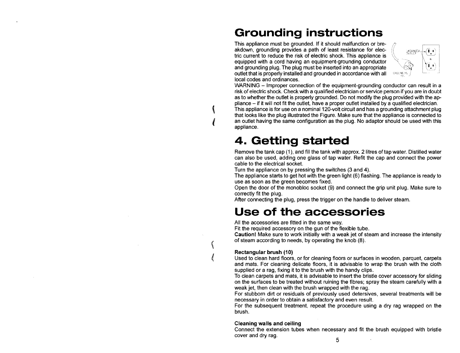## **Grounding instructions**

This appliance must be grounded. If it should malfunction or breakdown, grounding provides a path of least resistance for electric current to reduce the risk of electric shock. This appliance is equipped with a cord having an equipment-grounding conductor and grounding plug. The plug must be inserted into an appropriate outlet that is properly installed and grounded in accordance with all local codes and ordinances.



WARNING - Improper connection of the equipment-grounding conductor can result in a risk of electric shock. Check with a qualified electrician or service person if you are in doubt as to whether the outlet is properly grounded. Do not modify the plug provided with the appliance - if it will not fit the outlet, have a proper outlet installed by a qualified electrician.

This appliance is for use on a nominal 120-volt circuit and has a grounding attachment plug that looks like the plug illustrated the Figure. Make sure that the appliance is connected to an outlet having the same configuration as the plug. No adaptor should be used with this appliance.

## **4. Getting started**

Remove the tank cap (1), and fill the tank with approx. 2 litres of tap water. Distilled water can also be used, adding one glass of tap water. Refit the cap and connect the power cable to the electrical socket.

Turn the appliance on by pressing the switches (3 and 4).

The appliance starts to get hot with the green light (6) flashing. The appliance is ready to use as soon as the green becomes fixed.

Open the door of the monobloc socket (9) and connect the grip unit plug. Make sure to correctly fit the plug.

After connecting the plug, press the trigger on the handle to deliver steam.

### **Use of the accessories**

All the accessories are fitted in the same way.

Fit the required accessory on the gun of the flexible tube.

**Caution!** Make sure to work initially with a weak jet of steam and increase the intensity of steam according to needs, by operating the knob (8).

#### **Rectangular brush (10)**

(

 $\sqrt{\phantom{a}}$ 

 $\overline{\mathcal{M}}$  $\ell$ 

Used to clean hard floors, or for cleaning floors or surfaces in wooden, parquet, carpets and mats. For cleaning delicate floors, it is advisable to wrap the brush with the cloth supplied or a rag, fixing it to the brush with the handy clips.

To clean carpets and mats, it is advisable to insert the bristle cover accessory for sliding on the surfaces to be treated without ruining the fibres; spray the steam carefully with a weak jet, then clean with the brush wrapped with the rag.

For stubborn dirt or residuals of previously used detersives, several treatments will be necessary in order to obtain a satisfactory and even result.

For the subsequent treatment, repeat the procedure using a dry rag wrapped on the brush.

#### **Cleaning walls and ceiling**

Connect the extension tubes when necessary and fit the brush equipped with bristle cover and dry rag.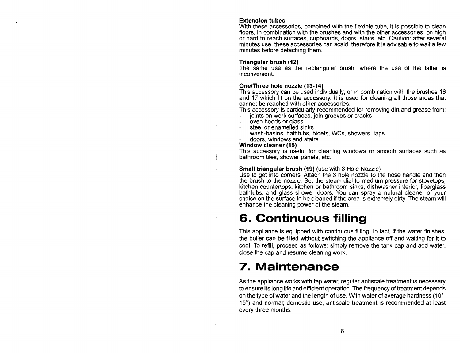#### **Extension tubes**

With these accessories, combined with the flexible tube, it is possible to clean floors, in combination with the brushes and with the other accessories, on high or hard to reach surfaces, cupboards, doors, stairs, etc. Caution: after several minutes use, these accessories can scald, therefore it is advisable to wait a few minutes before detaching them.

#### **Triangular brush (12)**

The same use as the rectangular brush, where the use of the latter is inconvenient.

#### **One/Three hole nozzle (13-14)**

This accessory can be used individually, or in combination with the brushes 16 and 17 which fit on the accessory. It is used for cleaning all those areas that cannot be reached with other accessories.

This accessory is particularly recommended for removing dirt and grease from: joints on work surfaces, join grooves or cracks

- $\overline{a}$ oven hoods or glass
- steel or enamelled sinks
- wash-basins, bathtubs, bidets, WCs, showers, taps
- doors, windows and stairs

#### **Window cleaner (15)**

 $\mathsf{I}$ 

This accessory is useful for cleaning windows or smooth surfaces such as bathroom tiles, shower panels, etc.

#### **Small triangular brush (19)** (use with 3 Hole Nozzle)

Use to get into corners. Attach the 3 hole nozzle to the hose handle and then the brush to the nozzle. Set the steam dial to medium pressure for stovetops, kitchen countertops, kitchen or bathroom sinks, dishwasher interior, fiberglass bathtubs, and glass shower doors. You can spray a natural cleaner of your choice on the surface to be cleaned if the area is extremely dirty. The steam will enhance the cleaning power of the steam.

### **6. Continuous filling**

This appliance is equipped with continuous filling. In fact, if the water finishes, the boiler can be filled without switching the appliance off and waiting for it to cool. To refill, proceed as follows: simply remove the tank cap and add water, close the cap and resume cleaning work.

### **7. Maintenance**

As the appliance works with tap water, regular antiscale treatment is necessary to ensure its long life and efficient operation. The frequency of treatment depends on the type of water and the length of use. With water of average hardness (10° 15°) and normal; domestic use, antiscale treatment is recommended at least every three months.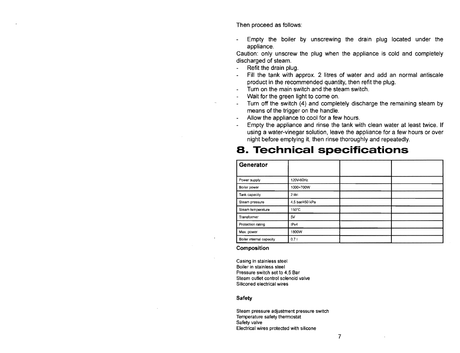Then proceed as follows:

Empty the boiler by unscrewing the drain plug located under the appliance.

Caution: only unscrew the plug when the appliance is cold and completely discharged of steam.

- Refit the drain plug.
- Fill the tank with approx. 2 litres of water and add an normal antiscale product in the recommended quantity, then refit the plug.
- Turn on the main switch and the steam switch.
- Wait for the green light to come on.
- Turn off the switch (4) and completely discharge the remaining steam by means of the trigger on the handle.
- Allow the appliance to cool for a few hours.
- Empty the appliance and rinse the tank with clean water at least twice. If using a water-vinegar solution, leave the appliance for a few hours or over night before emptying it, then rinse thoroughly and repeatedly.

### **S. Technical specifications**

| Generator                |                 |  |
|--------------------------|-----------------|--|
| Power supply             | 120V-60Hz       |  |
| Boiler power             | 1000+700W       |  |
| Tank capacity            | 2 litri         |  |
| Steam pressure           | 4,5 bar/450 kPa |  |
| Steam temperature        | 150°C           |  |
| Transformer              | 5V              |  |
| Protection rating        | IPx4            |  |
| Max. power               | 1800W           |  |
| Boiler internal capacity | 0,71            |  |

#### Composition

Casing in stainless steel Boiler in stainless steel Pressure switch set to 4,5 Bar Steam outlet control solenoid valve Siliconed electrical wires

#### Safety

Steam pressure adjustment pressure switch Temperature safety thermostat Safety valve Electrical wires protected with silicone